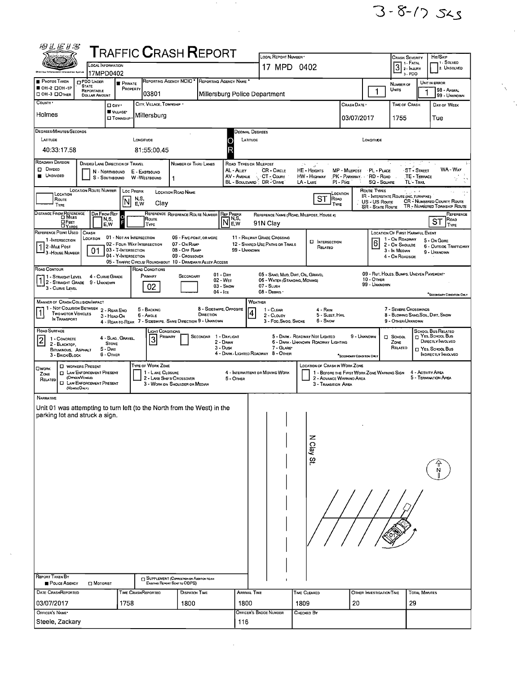

 $\ddot{\phantom{0}}$ 

 $\frac{1}{2} \sum_{i=1}^{n} \frac{1}{2} \sum_{i=1}^{n} \frac{1}{2} \sum_{i=1}^{n} \frac{1}{2} \sum_{i=1}^{n} \frac{1}{2} \sum_{i=1}^{n} \frac{1}{2} \sum_{i=1}^{n} \frac{1}{2} \sum_{i=1}^{n} \frac{1}{2} \sum_{i=1}^{n} \frac{1}{2} \sum_{i=1}^{n} \frac{1}{2} \sum_{i=1}^{n} \frac{1}{2} \sum_{i=1}^{n} \frac{1}{2} \sum_{i=1}^{n} \frac{1}{2} \sum_{i=1}^{n$ 

| <b>ALE1S</b>                                                                                                                                               |                                                                                                                                     |                                                                        |                                                                                           |                                                                             |                                                   |                                      |                                                                                                 |                                                                       |                                                                         |                                                         |                                                                                                                                          |                                                                                                          |
|------------------------------------------------------------------------------------------------------------------------------------------------------------|-------------------------------------------------------------------------------------------------------------------------------------|------------------------------------------------------------------------|-------------------------------------------------------------------------------------------|-----------------------------------------------------------------------------|---------------------------------------------------|--------------------------------------|-------------------------------------------------------------------------------------------------|-----------------------------------------------------------------------|-------------------------------------------------------------------------|---------------------------------------------------------|------------------------------------------------------------------------------------------------------------------------------------------|----------------------------------------------------------------------------------------------------------|
|                                                                                                                                                            |                                                                                                                                     | OCAL INFORMATION<br>17MPD0402                                          | <b>TRAFFIC CRASH REPORT</b>                                                               |                                                                             |                                                   |                                      | LOCAL REPORT NUMBER<br>17 MPD 0402                                                              |                                                                       |                                                                         |                                                         | <b>CRASH SEVERITY</b><br>$\boxed{3}$ $\begin{array}{c} \text{1 - FATAL} \\ \text{2 - InJURY} \\ \text{3 - BDR} \end{array}$<br>$3 - PDO$ | HIT/SKIP<br>1 - Solved<br>2. UNSOLVED                                                                    |
| <b>PHOTOS TAKEN</b><br>OH-2 DOH-1P<br>C OH -3 DOTHER                                                                                                       | <b>DPDO UNDER</b><br><b>STATE</b><br>REPORTABLE<br><b>DOLLAR AMOUNT</b>                                                             | <b>F</b> PRIVATE<br>PROPERTY                                           | 03801                                                                                     | REPORTING AGENCY NCIC * REPORTING AGENCY NAME                               |                                                   |                                      | Millersburg Police Department                                                                   |                                                                       |                                                                         |                                                         | NUMBER OF<br>UNITS                                                                                                                       | UNIT IN ERROR<br>98 - ANIMAL<br>99 - UNKNOWN                                                             |
| COUNTY *<br>Holmes                                                                                                                                         |                                                                                                                                     | $\square$ City $\cdot$<br>VILLAGE*<br><b>O</b> TOWNSHIP                | CITY, VILLAGE, TOWNSHIP<br>Millersburg                                                    |                                                                             |                                                   |                                      |                                                                                                 |                                                                       | CRASH DATE<br>03/07/2017                                                |                                                         | <b>TIME OF CRASH</b><br>1755                                                                                                             | DAY OF WEEK<br>Tue                                                                                       |
| DEGREES/MINUTES/SECONDS<br>LATITUDE<br>40:33:17.58                                                                                                         |                                                                                                                                     |                                                                        | LONGITUDE<br>81:55:00.45                                                                  |                                                                             |                                                   | JECIMAL DEGREES<br>LATITUDE          |                                                                                                 |                                                                       |                                                                         | LONGITUDE                                               |                                                                                                                                          |                                                                                                          |
| ROADWAY DIVISION<br>$D$ Divideo<br><b>UNDIVIDED</b>                                                                                                        | s                                                                                                                                   | DIVIDED LANE DIRECTION OF TRAVEL<br>N - NORTHBOUND<br>- SOUTHBOUND     | E - EASTBOUND<br>W-WESTBOUND                                                              | NUMBER OF THRU LANES<br>$\mathbf{1}$                                        |                                                   | ROAD TYPES OR MILEPOST<br>AL - ALLEY | <b>CR - CIRCLE</b><br>AV - AVENUE A CT - COURT<br>BL - BOULEVARD <sup>5</sup> DR-DRNE           | The S<br>HE - HEIGHTS<br>HW - HIGHWAY<br>LA - LANE                    | MP - MILEPOST<br>PK - PARKWAY. 'RD - ROAD<br>$PI - P$ ik $E$            | · PL · PLACE<br><b>SQ - SOUARE</b>                      | TL - TRAIL                                                                                                                               | WA - WAY<br>ST - STREET<br>TE - TERRACE                                                                  |
| LOCATION<br>ROUTE<br><b>TYPE</b>                                                                                                                           | <b>LOCATION ROUTE NUMBER</b>                                                                                                        | Loc PREFIX<br>'N                                                       | N,S,<br>Clay<br>E.W                                                                       | <b>LOCATION ROAD NAME</b>                                                   |                                                   |                                      |                                                                                                 | <b>ST</b><br>ROAD<br>TYPE                                             | LOCATION                                                                | Route Types<br>US - US Route<br><b>SR - STATE ROUTE</b> | IR - INTERSTATE ROUTE (INC. TURNPIKE)                                                                                                    | CR - NUMBERED COUNTY ROUTE<br>TR - NUMBERED TOWNSHIP ROUTE                                               |
| DISTANCE FROM REFERENCE<br><b>OFEET</b><br><b>DYARDS</b><br>REFERENCE POINT USEO                                                                           | Dir From Ref<br>CRASH                                                                                                               | $\circ$<br>N,S,<br>E,W                                                 | Route<br>TYPE                                                                             | REFERENCE REFERENCE ROUTE NUMBER                                            |                                                   | <b>REF PREFIX</b><br>1 N.S.<br>E.W   | 91N Clay                                                                                        | REFERENCE NAME (ROAD, MILEPOST, HOUSE #)                              |                                                                         |                                                         | LOCATION OF FIRST HARMFUL EVENT                                                                                                          | REFERENCE<br>ROAD<br>ST<br>TYPE                                                                          |
| 1-INTERSECTION<br>2-MILE Post<br>3 - House Number                                                                                                          | LOCATION<br>01                                                                                                                      | 01 - NOT AN INTERSECTION<br>03 - T-INTERSECTION<br>04 - Y-INTERSECTION | 02 - FOUR-WAY INTERSECTION<br>05 - TRAFFIC CIRCLE/ ROUNDABOUT 10 - DRIVEWAY/ ALLEY ACCESS | 06 - Five-POINT, OR MORE<br>07 - On RAMP<br>08 - OFF RAMP<br>09 - Crossover |                                                   | 99 - UNKNOWN                         | 11 - RAILWAY GRADE CROSSING<br>12 - SHARED-USE PATHS OR TRAILS                                  | <b>D</b> INTERSECTION<br>RELATED                                      |                                                                         | 6                                                       | 1 - On Roadway<br>2 - On Shoulde<br>3 - In Median<br>4 - On ROADSIDE                                                                     | 5 - On GORE<br><b>6 - OUTSIDE TRAFFICWAY</b><br>9 - UNXNOWN                                              |
| ROAD CONTOUR<br>1 - STRAIGHT LEVEL<br>1 2 - STRAIGHT GRADE 9 - UNKNOWN<br>3 - Curve Level                                                                  |                                                                                                                                     | 4 - CURVE GRADE                                                        | ROAD CONDITIONS<br>PRIMARY<br>02                                                          | SECONDARY                                                                   | 01 - Day<br>02 - WET<br>$03 -$ Snow<br>$04 -$ Ice |                                      | 05 - SAND, MUD, DIRT, OIL, GRAVEL<br>06 - WATER (STANOING, MOVING)<br>07 - SLUSH<br>08 - DEBRIS |                                                                       |                                                                         | 10 - Отнея<br>99 - Unknown                              |                                                                                                                                          | 09 - RUT, HOLES, BUMPS, UNEVEN PAVEMENT<br>"SECONDARY CONDITION ONLY                                     |
| MANNER OF CRASH COLLISION/IMPACT<br>1 - NOT COLLISION BETWEEN<br>TWO MOTOR VEHICLES<br>IN TRANSPORT                                                        |                                                                                                                                     | 2 - REAR-END<br>3 - HEAD-ON<br>4 - Rear-to-Rear                        | 5 - BACKING<br>6 - ANGLE                                                                  | 7 - SIDESWIPE, SAME DIRECTION 9 - UNKNOWN                                   | 8 - SIDESWIPE, OPPOSITE<br>DIRECTION              | 4                                    | WEATHER<br>1 - CLEAR<br>2 - CLOUDY<br>3 - Fog, Smog, Smoke                                      | 4 - Rain<br>5 - Sleet, Hail<br>6 - Snow                               |                                                                         |                                                         | 7 - SEVERE CROSSWINDS<br>9 - OTHER/UNKNOWN                                                                                               | 8 - BLOWING SAND, SDIL, DIRT, SNOW                                                                       |
| ROAD SURFACE<br>$\overline{\mathbf{c}}$<br>1 - CONCRETE<br>2 - BLACKTOP.<br>BITUMINOUS, ASPHALT<br>3 - BRICK/BLOCK                                         |                                                                                                                                     | 4 - SLAG, GRAVEL,<br><b>STONE</b><br>5 - Dirt<br>6 - OTHER             | <b>LIGHT CONDITIONS</b><br>PRIMARY<br>3                                                   | <b>SECONDAR</b>                                                             | 1 - Daylight<br>2 - DAWN<br>3 - Dusk              |                                      | 7 - GLARE*<br>4 - DARK - LIGHTED ROADWAY 8 - OTHER                                              | 5 - DARK - ROADWAY NOT LIGHTED<br>6 - DARK - UNKNOWN ROADWAY LIGHTING | 9 - UNKNOWN<br>"SECONDARY CONDITION DM.                                 |                                                         | $\square$ SCHOOL<br>ZONE<br>RELATED                                                                                                      | SCHOOL BUS RELATED<br>T YES, SCHOOL BUS<br>DIRECTLY INVOLVED<br>T YES, SCHOOL BUS<br>INDIRECTLY INVOLVED |
| OWORK<br>ZONE<br>RELATED                                                                                                                                   | <b>D</b> WORKERS PRESENT<br><b>IN ENFORCEMENT PRESENT</b><br>(OFFICER VEHICLE)<br><b>I LAW ENFORCEMENT PRESENT</b><br>(VEHOLE ONLY) |                                                                        | TYPE OF WORK ZONE<br>1 - LANE CLOSURE<br>2 - LANE SHIFT/ CROSSOVER                        | 3 - WORK ON SHOULDER OR MEDIAN                                              |                                                   | 5 - OTHER                            | 4 - INTERMITTENT OR MOVING WORK                                                                 | LOCATION OF CRASH IN WORK ZONE<br>3 - Transition Area                 | 1 - BEFORE THE FIRST WORK ZONE WARNING SIGN<br>2 - ADVANCE WARNIND AREA |                                                         |                                                                                                                                          | 4 - ACTIVITY AREA<br>5 - Termination Area                                                                |
| NARRATIVE<br>Unit 01 was attempting to turn left (to the North from the West) in the<br>parking lot and struck a sign.<br>REPORT TAKEN BY<br>POLICE AGENCY | $\square$ Motorist                                                                                                                  |                                                                        |                                                                                           | SUPPLEMENT (CORRECTION OR ADDITION TO AN<br>EXISTING REPORT SENT TO ODPS)   |                                                   |                                      |                                                                                                 | N Clay St                                                             |                                                                         |                                                         |                                                                                                                                          |                                                                                                          |
| <b>DATE CRASHREPORTED</b><br>03/07/2017                                                                                                                    |                                                                                                                                     | 1758                                                                   | TIME CRASHREPORTEO                                                                        | <b>DISPATCH TIME</b><br>1800                                                |                                                   | <b>ARRIVAL TIME</b><br>1800          |                                                                                                 | <b>TIME CLEARED</b><br>1809                                           | 20                                                                      | OTHER INVESTIGATION TIME                                | 29                                                                                                                                       | <b>TOTAL MINUTES</b>                                                                                     |
| OFFICER'S NAME*<br>Steele, Zackary                                                                                                                         |                                                                                                                                     |                                                                        |                                                                                           |                                                                             |                                                   | 116                                  | OFFICER'S BADGE NUMBER                                                                          | CHECKED BY                                                            |                                                                         |                                                         |                                                                                                                                          |                                                                                                          |

 $\sim 10^6$ 

 $\label{eq:1} \hat{a}_{\mu}$ 

 $\label{eq:2.1} \frac{1}{\sqrt{2}}\int_{\mathbb{R}^3} \frac{d\mu}{\mu} \left( \frac{d\mu}{\mu} \right)^2 \frac{d\mu}{\mu} \left( \frac{d\mu}{\mu} \right)^2 \frac{d\mu}{\mu} \left( \frac{d\mu}{\mu} \right)^2 \frac{d\mu}{\mu} \left( \frac{d\mu}{\mu} \right)^2 \frac{d\mu}{\mu} \left( \frac{d\mu}{\mu} \right)^2 \frac{d\mu}{\mu} \left( \frac{d\mu}{\mu} \right)^2 \frac{d\mu}{\mu} \left( \frac{d\mu}{\mu} \right)^2$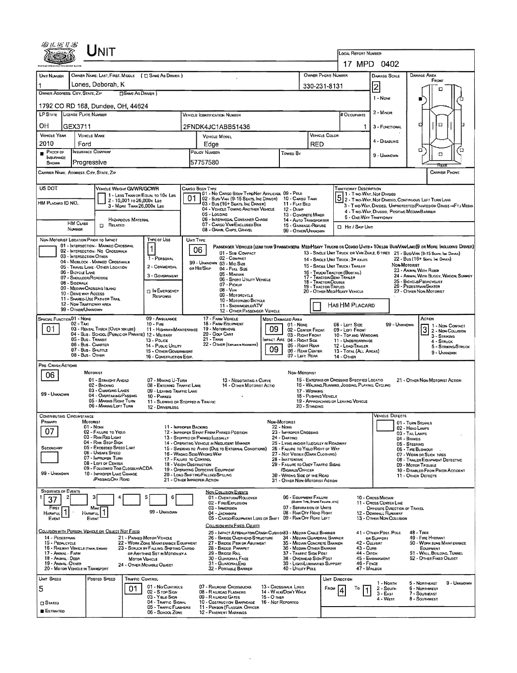| <b>NIT</b><br>LOCAL REPORT NUMBER<br>17 MPD 0402<br>OWNER PHONE NUMBER<br>OWNER NAME: LAST, FIRST, MIDDLE ( E SAME AS DRIVER )<br><b>DAMAGE AREA</b><br>UNIT NUMBER<br><b>DAMAGE SCALE</b><br>FRONT<br>Lones, Deborah, K<br>2<br>330-231-8131<br>п<br>OWNER ADDRESS: CITY, STATE, ZIP<br><b>SAME AS DRIVER</b> )<br>1 - NONE<br>1792 CO RD 168, Dundee, OH, 44624<br>2 - MINOR<br><b>LP STATE</b><br>LICENSE PLATE NUMBER<br># Occupants<br>VEHICLE IOENTIFICATION NUMBER<br>$\Box$<br>o<br>OН<br>GEX3711<br>2FNDK4JC1ABB51436<br>3 - FUNCTIONAL<br>1<br>VEHICLE COLOR<br><b>VEHICLE YEAR</b><br><b>VEHICLE MAKE</b><br>VEHICLE MODEL<br>4 - DISABLING |             |  |  |  |  |  |  |  |  |  |
|--------------------------------------------------------------------------------------------------------------------------------------------------------------------------------------------------------------------------------------------------------------------------------------------------------------------------------------------------------------------------------------------------------------------------------------------------------------------------------------------------------------------------------------------------------------------------------------------------------------------------------------------------------|-------------|--|--|--|--|--|--|--|--|--|
|                                                                                                                                                                                                                                                                                                                                                                                                                                                                                                                                                                                                                                                        |             |  |  |  |  |  |  |  |  |  |
|                                                                                                                                                                                                                                                                                                                                                                                                                                                                                                                                                                                                                                                        |             |  |  |  |  |  |  |  |  |  |
|                                                                                                                                                                                                                                                                                                                                                                                                                                                                                                                                                                                                                                                        |             |  |  |  |  |  |  |  |  |  |
|                                                                                                                                                                                                                                                                                                                                                                                                                                                                                                                                                                                                                                                        |             |  |  |  |  |  |  |  |  |  |
|                                                                                                                                                                                                                                                                                                                                                                                                                                                                                                                                                                                                                                                        |             |  |  |  |  |  |  |  |  |  |
|                                                                                                                                                                                                                                                                                                                                                                                                                                                                                                                                                                                                                                                        |             |  |  |  |  |  |  |  |  |  |
|                                                                                                                                                                                                                                                                                                                                                                                                                                                                                                                                                                                                                                                        |             |  |  |  |  |  |  |  |  |  |
|                                                                                                                                                                                                                                                                                                                                                                                                                                                                                                                                                                                                                                                        |             |  |  |  |  |  |  |  |  |  |
| 2010<br>Ford<br>RED<br>Edge<br>α<br>INSURANCE COMPANY<br>PROOF OF<br>POLICY NUMBER<br>TOWED BY                                                                                                                                                                                                                                                                                                                                                                                                                                                                                                                                                         | ้น          |  |  |  |  |  |  |  |  |  |
| o<br>9 - Unknown<br>INSURANCE<br>Progressive<br>57757580<br>SHOWN                                                                                                                                                                                                                                                                                                                                                                                                                                                                                                                                                                                      |             |  |  |  |  |  |  |  |  |  |
| Rrza<br><b>CARRIER PHONE</b><br>CARRIER NAME, ADDRESS, CITY, STATE, ZIP                                                                                                                                                                                                                                                                                                                                                                                                                                                                                                                                                                                |             |  |  |  |  |  |  |  |  |  |
| US DOT<br>TRAFFICWAY DESCRIPTION<br>VEHICLE WEIGHT GVWR/GCWR<br>CARGO BODY TYPE                                                                                                                                                                                                                                                                                                                                                                                                                                                                                                                                                                        |             |  |  |  |  |  |  |  |  |  |
| 01 - No CARGO BODY TYPE/NOT APPLICABL 09 - POLE<br>11 - Two Way, Not Divided<br>1 - Two-Way, Not DIVIDED<br>2 - Two-Way, Not Divideo, Continuous Left Turn Lane<br>1 - LESS THAN OR EQUAL TO 10K LBS<br>01<br>02 - Bus/Van (9-15 Seats, Inc Driver)<br>10 - CARGO TANK<br>2 - 10,001 to 26,000k Las<br>HM PLACARD ID NO.<br>03 - Bus (16+ Seats, Inc Driver)<br>11 - FLAT BED                                                                                                                                                                                                                                                                          |             |  |  |  |  |  |  |  |  |  |
| 3 - Two-Way, Divided, Unprotected (Painted on Grass >4FT.) Media<br>3 - MORE THAN 26,000K LBS<br>04 - VEHICLE TOWING ANOTHER VEHICLE<br>12 - Duwe<br>4 - Two-Way, Divideo, Positive Median Barrier<br>05 - LOGGING<br>13 - CONCRETE MIXER                                                                                                                                                                                                                                                                                                                                                                                                              |             |  |  |  |  |  |  |  |  |  |
| 5 - ONE-WAY TRAFFICWAY<br>06 - INTERMODAL CONTAINER CHASIS<br>HAZARDOUS MATERIAL<br>14 - AUTO TRANSPORTER<br><b>HM CLASS</b><br>07 - CARGO VAN/ENCLOSED BOX<br>RELATED<br>15 - GARBAGE /REFUSE<br>$\Box$                                                                                                                                                                                                                                                                                                                                                                                                                                               |             |  |  |  |  |  |  |  |  |  |
| El Hir / Skip Unit<br>NUMBER<br>08 - GRAN, CHPS, GRAVEL<br>99 - OTHER/UNKNOWN                                                                                                                                                                                                                                                                                                                                                                                                                                                                                                                                                                          |             |  |  |  |  |  |  |  |  |  |
| TYPE OF USE<br>NON-MOTORIST LOCATION PRIOR TO IMPACT<br>UNIT TYPE<br>01 - INTERSECTION - MARKEO CROSSWAL<br>PASSENGER VEHICLES (LESS THAN 9 PASSENGERS MEDIHEAVY TRUCKS OR COMBO UNITS > 10KLBS BUS/VAN/LIMO(9 OR MORE INCLUDING DRIVER)<br>$\mathbf{1}$                                                                                                                                                                                                                                                                                                                                                                                               |             |  |  |  |  |  |  |  |  |  |
| 06<br>02 - INTERSECTION - NO CROSSWALK<br>01 - Sub COMPACT<br>13 - SINGLE UNIT TRUCK OR VAN 2AXLE, 6 TIRES 21 - BUS/VAN (9-15 SEATS, INC DRIVER)<br>03 - INTERSECTION OTHER<br>1 - PERSONAL<br>02 - COMPACT<br>22 - Bus (16+ Seats, Inc Daven)<br>14 - SINGLE UNIT TRUCK: 3+ AXLES                                                                                                                                                                                                                                                                                                                                                                     |             |  |  |  |  |  |  |  |  |  |
| 04 - MIDBLOCK - MARKED CROSSWALK<br>99 - UNKNOWN 03 - MID SIZE<br>NON-MOTORIST<br>15 - SINGLE UNIT TRUCK / TRAILER<br>2 - COMMERCIAL<br>05 - TRAVEL LANE - OTHER LOCATION<br>OR HIT/SKIP<br>04 - Fut Size<br>23 - ANIMAL WITH RIDER                                                                                                                                                                                                                                                                                                                                                                                                                    |             |  |  |  |  |  |  |  |  |  |
| 06 - BICYCLE LANE<br>16 - TRUCK/TRACTOR (BOSTAIL)<br>05 - MINIVAN<br>3 - Government<br>24 - ANIMAL WITH BUGGY, WAGON, SURREY<br>17 - Tractor/Semi-Traker<br>07 - SHOULDER/ROADSIDE<br>06 - Sport Uttury Vehicle<br>25 - BICYCLEPEDACYCLIST<br>18 - TRACTOR/DOUBLE                                                                                                                                                                                                                                                                                                                                                                                      |             |  |  |  |  |  |  |  |  |  |
| 08 - SIDEWALK<br>07 - Pickup<br>26 - PEDESTRIAN/SKATER<br>19 - Tractor/Triples<br>09 - MEORN CROSSING ISLAND<br>$08 - V_{AN}$<br><b>DIN EMERGENCY</b><br>20 - OTHER MEDIHEAVY VEHICLE<br>27 - OTHER NON-MOTORIST<br>10 - DRIVE WAY ACCESS                                                                                                                                                                                                                                                                                                                                                                                                              |             |  |  |  |  |  |  |  |  |  |
| 09 - MOTORCYCLE<br>RESPONSE<br>11 - SHARED-USE PATH OR TRAIL<br>10 - MOTORIZEO BICYCLE<br>12 - NON-TRAFFICWAY AREA<br>HAS HM PLACARD                                                                                                                                                                                                                                                                                                                                                                                                                                                                                                                   |             |  |  |  |  |  |  |  |  |  |
| 11 - SNOWMOBILE/ATV<br>99 - OTHER/UNKNOWN<br>12 - OTHER PASSENGER VEHICLE                                                                                                                                                                                                                                                                                                                                                                                                                                                                                                                                                                              |             |  |  |  |  |  |  |  |  |  |
| SPECIAL FUNCTION 01 - NONE<br>17 - FARM VEHICLE<br>09 - AMBULANCE<br>Астюн<br><b>MOST DAMAGED AREA</b><br>02 - Taxi<br>$10 -$ Figs<br>18 - Галм Едирмент<br>99 - UNKNOWN<br>01 - None<br>08 - LEFT SIDE<br>1 1 - Non-Contact<br>03 - RENTAL TRUCK (OVER 10K LBS)<br>19 - Motorhome                                                                                                                                                                                                                                                                                                                                                                     |             |  |  |  |  |  |  |  |  |  |
| $\overline{\mathbf{3}}$<br>09<br>01<br>11 - Highway Maintenance<br>02 - CENTER FRONT<br>09 - LEFT FRONT<br>2 - Non-Colusion<br>04 - Bus - School (Public or Private) 12 - Maitary<br>20 - Golf Cart<br>03 - RIGHT FRONT<br>10 - TOP AND WINDOWS<br>3 - STRIKING<br>05 - Bus - Transit<br>21 - TRAIN<br>MPACT ARE 04 - RIGHT SIDE<br>13 - Pouce<br>11 - UNDERCARRIAGE                                                                                                                                                                                                                                                                                   |             |  |  |  |  |  |  |  |  |  |
| $4 -$ Struck<br>06 - Bus - Charter<br>22 - OTHER (EXPLAN IN NARRATIVE)<br>05 - RIGHT REAR<br>14 - PUBLIC UTILITY<br>12 - LOAD/TRAILER<br>5 - Strikeng/Striugk<br>09<br>07 - Bus - SHUTTLE<br>06 - REAR CENTER<br>13 - TOTAL (ALL AREAS)<br>15 - OTHER GOVERNMENT                                                                                                                                                                                                                                                                                                                                                                                       |             |  |  |  |  |  |  |  |  |  |
| 9 - UNKNOWN<br>08 - Bus - OTHER<br>07 - LEFT REAR<br>16 - CONSTRUCTION EQIP.<br>14 - OTHER                                                                                                                                                                                                                                                                                                                                                                                                                                                                                                                                                             |             |  |  |  |  |  |  |  |  |  |
| PRE-CRASH ACTIONS<br>NON-MOTORIST<br>MOTORIST                                                                                                                                                                                                                                                                                                                                                                                                                                                                                                                                                                                                          |             |  |  |  |  |  |  |  |  |  |
| 06<br>01 - STRAIGHT AHEAD<br>15 - ENTERING OR CROSSING SPECIFIED LOCATIO<br>07 - MAKING U-TURN<br>13 - NEGOTIATING A CURVE<br>21 - OTHER NON-MOTORIST ACTION<br>16 - WALKING, RUNNING, JOGGING, PLAYING, CYCLING<br>02 - BACKING<br>08 - ENTERING TRAFFIC LANE<br>14 - OTHER MOTORIST ACTIO                                                                                                                                                                                                                                                                                                                                                            |             |  |  |  |  |  |  |  |  |  |
| 03 - CHANGING LANES<br>17 - WORKING<br>09 - LEAVING TRAFFIC LANE<br>99 - UNKNOWN<br>04 - OVERTAKING/PASSING<br>18 - PUSHING VENICLE<br>10 - PARKED                                                                                                                                                                                                                                                                                                                                                                                                                                                                                                     |             |  |  |  |  |  |  |  |  |  |
| 05 - MAKING RIGHT TURN<br>19 - APPROACHING OR LEAVING VEHICLE<br>11 - SLOWING OR STOPPED IN TRAFFIC<br>06 - MAKING LEFT TURN<br>20 - Standing<br>12 - DRIVERLESS                                                                                                                                                                                                                                                                                                                                                                                                                                                                                       |             |  |  |  |  |  |  |  |  |  |
| VEHICLE DEFECTS<br><b>CONTRIBUTING CIRCUMSTANCE</b>                                                                                                                                                                                                                                                                                                                                                                                                                                                                                                                                                                                                    |             |  |  |  |  |  |  |  |  |  |
| MOTORIST<br>NON-MOTORIST<br>PRIMARY<br>01 - TURN SIGNALS<br>$01 - None$<br>11 - IMPROPER BACKING<br>22 - NONE<br>02 - HEAD LAMPS<br>07<br>02 - FAILURE TO YIELD<br>12 - IMPROPER START FROM PARKED POSITION<br>23 - IMPROPER CROSSING                                                                                                                                                                                                                                                                                                                                                                                                                  |             |  |  |  |  |  |  |  |  |  |
| 03 - TAIL LAMPS<br>03 - RAN RED LIGHT<br>24 - DARTING<br>13 - STOPPEO OR PARKED ILLEGALLY<br>04 - BRAKES<br>04 - RAN STOP SIGN<br>14 - OPERATING VEHICLE IN NEGLIGENT MANNER<br>25 - LYING AND/OR ILLEGALLY IN ROADWAY                                                                                                                                                                                                                                                                                                                                                                                                                                 |             |  |  |  |  |  |  |  |  |  |
| 05 - STEERING<br>05 - Exceeped Speed Limit<br>SECONDARY<br>15 - Swering to Avoid (Due to External Conditions)<br>26 - FALURE TO YIELD RIGHT OF WAY<br>06 - TIRE BLOWOUT<br>06 - Unsafe Speed<br>16 - WRONG SIDE/WRDNG WAY<br>27 - NOT VISSUE (DARK CLOTHING)<br>07 - WORN OR SLICK TIRES                                                                                                                                                                                                                                                                                                                                                               |             |  |  |  |  |  |  |  |  |  |
| 07 - IMPROPER TURN<br>17 - FALURE TO CONTROL<br>28 - INATTENTIVE<br>08 - TRAILER EQUIPMENT DEFECTIVE<br>08 - LEFT OF CENTER<br>18 - Vision Oastruction<br>29 - FAILURE TO OBEY TRAFFIC SIGNS<br>09 - MOTOR TROUBLE                                                                                                                                                                                                                                                                                                                                                                                                                                     |             |  |  |  |  |  |  |  |  |  |
| 09 - FOLLOWED TOO CLOSELY/ACDA<br>19 - OPERATING DEFECTIVE EQUIPMENT<br>SIGNALS/OFFICER<br>10 - DISABLED FROM PRIOR ACCIDENT<br>99 - UNKNOWN<br>10 - IMPROPER LANE CHANGE<br>20 - LOAD SHETING/FALLING/SPILLING<br>30 - WRONG SIDE OF THE ROAD<br>11 - OTHER DEFECTS                                                                                                                                                                                                                                                                                                                                                                                   |             |  |  |  |  |  |  |  |  |  |
| <b>PASSING OFF ROAD</b><br>21 - OTHER IMPROPER ACTION<br>31 - OTHER NON-MOTORIST ACTION                                                                                                                                                                                                                                                                                                                                                                                                                                                                                                                                                                |             |  |  |  |  |  |  |  |  |  |
| <b>SEQUENCE OF EVENTS</b><br><b>NON-COLLISION EVENTS</b><br>з<br>5<br>06 - EQUIPMENT FAILURE<br>6<br>01 - Overturn/Rollover<br>10 - Cross Meowy<br>37                                                                                                                                                                                                                                                                                                                                                                                                                                                                                                  |             |  |  |  |  |  |  |  |  |  |
| (BLOWN TIRE, BRAKE FAILURE, ETC)<br>02 - FIRE/EXPLOSION<br>11 - Cross Center Line<br>07 - SEPARATION OF UNITS<br>03 - IMMERSION<br>FIRST<br>Most<br>OPPOSITE DIRECTION OF TRAVEL                                                                                                                                                                                                                                                                                                                                                                                                                                                                       |             |  |  |  |  |  |  |  |  |  |
| HARMFUL <sup>1</sup><br>99 - UNKNOWN<br>1<br>08 - RAN OFF ROAD RIGHT<br>04 - JACKKNIFE<br><b>HARMFUL</b><br>12 - Downhill Runaway<br>05 - CARGO/EQUIPMENT LOSS OR SHIFT 09 - RAN OFF ROAD LEFT<br>EVENT<br>EVENT<br>13 - OTHER NON-COLLISION                                                                                                                                                                                                                                                                                                                                                                                                           |             |  |  |  |  |  |  |  |  |  |
| COLLISION WITH FIXED, OBJECT<br>COLLISION WITH PERSON, VEHICLE OR OBJECT NOT FIXED<br>25 - IMPACT ATTENUATORICRASH CUSHION33 - MEDIAN CABLE BARRIER<br>41 - OTHER POST, POLE<br><b>48 - TREE</b>                                                                                                                                                                                                                                                                                                                                                                                                                                                       |             |  |  |  |  |  |  |  |  |  |
| 14 - PEDESTRIAN<br>21 - PARKED MOTOR VEHICLE<br>26 - BRIDGE OVERHEAD STRUCTURE<br>49 - FIRE HYDRANT<br>34 - MEDIAN GUARDRAIL BARRIER<br>OR SUPPORT<br>15 - PEDALCYCLE<br>22 - WORK ZONE MAINTENANCE EQUIPMENT<br>27 - BRIDGE PIER OR ABUTMENT<br>35 - Median Concrete Barrier<br>42 - CULVERT<br>50 - WORK ZONE MAINTENANCE                                                                                                                                                                                                                                                                                                                            |             |  |  |  |  |  |  |  |  |  |
| 43 - CURB<br>16 - RAILWAY VEHICLE (TRAIN, ENGINE)<br>23 - STRUCK BY FALLING, SHIFTING CARGO<br>28 - BRIDGE PARAPET<br>36 - Median Other Barrier<br>EQUIPMENT<br>17 - ANIMAL - FARM<br>OR ANYTHING SET IN MOTION BY A<br>29 - BRIDGE RAIL<br>37 - Traffic Sign Post<br>44 - Олсн<br>51 - WALL, BULOING, TUNNEL                                                                                                                                                                                                                                                                                                                                          |             |  |  |  |  |  |  |  |  |  |
| 18 - Animal - Deer<br>30 - GUARDRAIL FACE<br>38 - Overhead Sign Post<br>45 - EMBANKMENT<br>52 - Отнея Fixed Object<br><b>MOTOR VEHICLE</b><br>19 - ANIMAL-OTHER<br>31 - GUARDRAILEND<br>39 - LIGHT/LUMINARIES SUPPORT<br>46 - FENCE<br>24 - OTHER MOVABLE OBJECT<br>20 - MOTOR VEHICLE IN TRANSPORT<br>47 - MAILBOX                                                                                                                                                                                                                                                                                                                                    |             |  |  |  |  |  |  |  |  |  |
| 32 - PORTABLE BARRIER<br>40 - Utility Pole<br><b>UNIT SPEED</b><br>POSTED SPEED<br>TRAFFIC CONTROL<br>Unit Direction                                                                                                                                                                                                                                                                                                                                                                                                                                                                                                                                   |             |  |  |  |  |  |  |  |  |  |
| 5 - NORTHEAST<br>1 - North<br>01 - No CONTROLS<br>07 - RAILROAD CROSSBUCKS<br>13 - Crosswalk Lines<br>5<br>01<br>From<br>То<br>2 - South<br>6 - Northwest<br>4                                                                                                                                                                                                                                                                                                                                                                                                                                                                                         | 9 - Unknown |  |  |  |  |  |  |  |  |  |
| 14 - WALK/DON'T WALK<br>02 - S TOP SIGN<br><b>08 - RAILROAD FLASHERS</b><br>$3 - East$<br>7 - Southeast<br>03 - YIELD SIGN<br>09 - RAILROAD GATES<br>$15 - O$ There<br>4 - West<br>8 - SOUTHWEST<br>04 - Traffic Signal<br>10 - COSTRUCTION BARRICADE 16 - NOT REPORTED                                                                                                                                                                                                                                                                                                                                                                                |             |  |  |  |  |  |  |  |  |  |
| <b>CI STATEO</b><br>05 - Traffic Flashers<br>11 - PERSON (FLAGGER, OFFICER<br><b>B</b> ESTIMATED<br>06 - School Zone<br>12 - PAVEMENT MARKINGS                                                                                                                                                                                                                                                                                                                                                                                                                                                                                                         |             |  |  |  |  |  |  |  |  |  |

 $\mathcal{L}(\mathcal{A})$  .